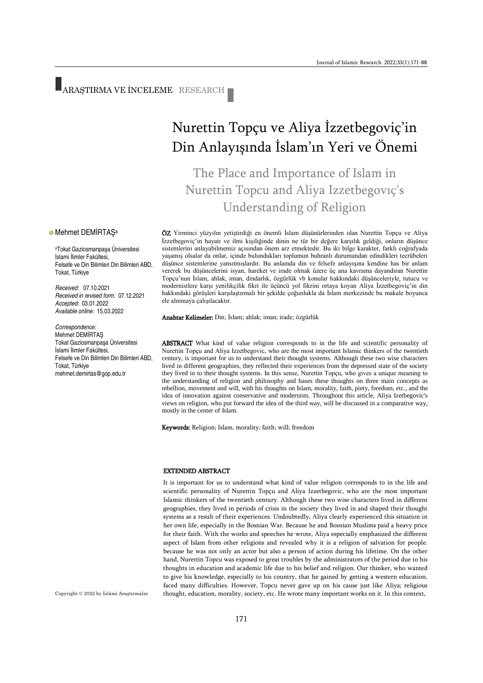# ARAŞTIRMA VE İNCELEME RESEARCH

#### **• Mehmet DEMİRTAŞ**a

<sup>a</sup>Tokat Gaziosmanpaşa Üniversitesi İslami İlimler Fakültesi, Felsefe ve Din Bilimleri Din Bilimleri ABD, Tokat, Türkiye

*Received:* 07.10.2021 *Received in revised form:* 07.12.2021 *Accepted:* 03.01.2022 *Available online:* 15.03.2022

#### *Correspondence:*

Mehmet DEMİRTAŞ Tokat Gaziosmanpaşa Üniversitesi İslami İlimler Fakültesi, Felsefe ve Din Bilimleri Din Bilimleri ABD, Tokat, Türkiye [mehmet.demirtas@gop.edu.tr](mailto:mehmet.demirtas@gop.edu.tr)

## Nurettin Topçu ve Aliya İzzetbegoviç'in Din Anlayışında İslam'ın Yeri ve Önemi

The Place and Importance of Islam in Nurettin Topcu and Aliya Izzetbegovıç's Understanding of Religion

ÖZ Yirminci yüzyılın yetiştirdiği en önemli İslam düşünürlerinden olan Nurettin Topçu ve Aliya İzzetbegoviç'in hayatı ve ilmi kişiliğinde dinin ne tür bir değere karşılık geldiği, onların düşünce sistemlerini anlayabilmemiz açısından önem arz etmektedir. Bu iki bilge karakter, farklı coğrafyada yaşamış olsalar da onlar, içinde bulundukları toplumun buhranlı durumundan edindikleri tecrübeleri düşünce sistemlerine yansıtmışlardır. Bu anlamda din ve felsefe anlayışına kendine has bir anlam vererek bu düşüncelerini isyan, hareket ve irade olmak üzere üç ana kavrama dayandıran Nurettin Topçu'nun İslam, ahlak, iman, dindarlık, özgürlük vb konular hakkındaki düşünceleriyle, tutucu ve modernistlere karşı yenilikçilik fikri ile üçüncü yol fikrini ortaya koyan Aliya İzzetbegoviç'in din hakkındaki görüşleri karşılaştırmalı bir şekilde çoğunlukla da İslam merkezinde bu makale boyunca ele alınmaya çalışılacaktır.

Anahtar Kelimeler: Din; İslam; ahlak; iman; irade; özgürlük

ABSTRACT What kind of value religion corresponds to in the life and scientific personality of Nurettin Topçu and Aliya Izzetbegovic, who are the most important Islamic thinkers of the twentieth century, is important for us to understand their thought systems. Although these two wise characters lived in different geographies, they reflected their experiences from the depressed state of the society they lived in to their thought systems. In this sense, Nurettin Topçu, who gives a unique meaning to the understanding of religion and philosophy and bases these thoughts on three main concepts as rebellion, movement and will, with his thoughts on Islam, morality, faith, piety, freedom, etc., and the idea of innovation against conservative and modernists. Throughout this article, Aliya Izetbegovic's views on religion, who put forward the idea of the third way, will be discussed in a comparative way, mostly in the center of Islam.

Keywords: Religion; Islam, morality; faith; will; freedom

#### EXTENDED ABSTRACT

It is important for us to understand what kind of value religion corresponds to in the life and scientific personality of Nurettin Topçu and Aliya Izzetbegovic, who are the most important Islamic thinkers of the twentieth century. Although these two wise characters lived in different geographies, they lived in periods of crisis in the society they lived in and shaped their thought systems as a result of their experiences. Undoubtedly, Aliya clearly experienced this situation in her own life, especially in the Bosnian War. Because he and Bosnian Muslims paid a heavy price for their faith. With the works and speeches he wrote, Aliya especially emphasized the different aspect of Islam from other religions and revealed why it is a religion of salvation for people. because he was not only an actor but also a person of action during his lifetime. On the other hand, Nurettin Topcu was exposed to great troubles by the administrators of the period due to his thoughts in education and academic life due to his belief and religion. Our thinker, who wanted to give his knowledge, especially to his country, that he gained by getting a western education, faced many difficulties. However, Topcu never gave up on his cause just like Aliya; religious thought, education, morality, society, etc. He wrote many important works on it. In this context,

Copyright © 2022 by İslâmî Araştırmalar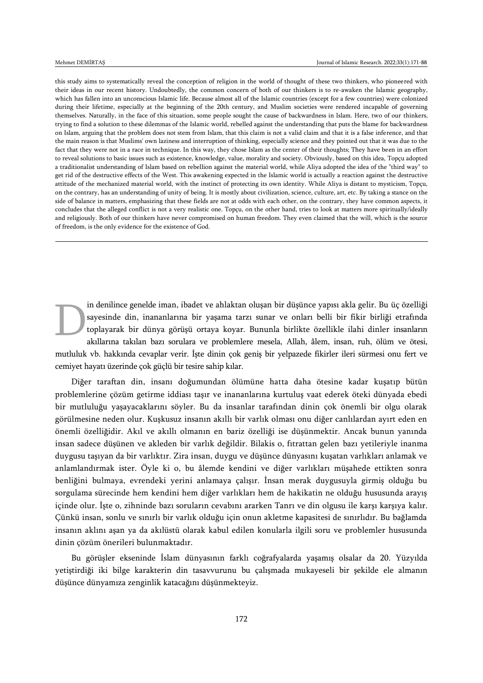this study aims to systematically reveal the conception of religion in the world of thought of these two thinkers, who pioneered with their ideas in our recent history. Undoubtedly, the common concern of both of our thinkers is to re-awaken the Islamic geography, which has fallen into an unconscious Islamic life. Because almost all of the Islamic countries (except for a few countries) were colonized during their lifetime, especially at the beginning of the 20th century, and Muslim societies were rendered incapable of governing themselves. Naturally, in the face of this situation, some people sought the cause of backwardness in Islam. Here, two of our thinkers, trying to find a solution to these dilemmas of the Islamic world, rebelled against the understanding that puts the blame for backwardness on Islam, arguing that the problem does not stem from Islam, that this claim is not a valid claim and that it is a false inference, and that the main reason is that Muslims' own laziness and interruption of thinking, especially science and they pointed out that it was due to the fact that they were not in a race in technique. In this way, they chose Islam as the center of their thoughts; They have been in an effort to reveal solutions to basic issues such as existence, knowledge, value, morality and society. Obviously, based on this idea, Topçu adopted a traditionalist understanding of Islam based on rebellion against the material world, while Aliya adopted the idea of the "third way" to get rid of the destructive effects of the West. This awakening expected in the Islamic world is actually a reaction against the destructive attitude of the mechanized material world, with the instinct of protecting its own identity. While Aliya is distant to mysticism, Topçu, on the contrary, has an understanding of unity of being. It is mostly about civilization, science, culture, art, etc. By taking a stance on the side of balance in matters, emphasizing that these fields are not at odds with each other, on the contrary, they have common aspects, it concludes that the alleged conflict is not a very realistic one. Topçu, on the other hand, tries to look at matters more spiritually/ideally and religiously. Both of our thinkers have never compromised on human freedom. They even claimed that the will, which is the source of freedom, is the only evidence for the existence of God.

in denilince genelde iman, ibadet ve ahlaktan oluşan bir düşünce yapısı akla gelir. Bu üç özelliği sayesinde din, inananlarına bir yaşama tarzı sunar ve onları belli bir fikir birliği etrafında toplayarak bir dünya görüşü ortaya koyar. Bununla birlikte özellikle ilahi dinler insanların akıllarına takılan bazı sorulara ve problemlere mesela, Allah, âlem, insan, ruh, ölüm ve ötesi, mutluluk vb. hakkında cevaplar verir. İşte dinin çok geniş bir yelpazede fikirler ileri sürmesi onu fert ve cemiyet hayatı üzerinde çok güçlü bir tesire sahip kılar. D

Diğer taraftan din, insanı doğumundan ölümüne hatta daha ötesine kadar kuşatıp bütün problemlerine çözüm getirme iddiası taşır ve inananlarına kurtuluş vaat ederek öteki dünyada ebedi bir mutluluğu yaşayacaklarını söyler. Bu da insanlar tarafından dinin çok önemli bir olgu olarak görülmesine neden olur. Kuşkusuz insanın akıllı bir varlık olması onu diğer canlılardan ayırt eden en önemli özelliğidir. Akıl ve akıllı olmanın en bariz özelliği ise düşünmektir. Ancak bunun yanında insan sadece düşünen ve akleden bir varlık değildir. Bilakis o, fıtrattan gelen bazı yetileriyle inanma duygusu taşıyan da bir varlıktır. Zira insan, duygu ve düşünce dünyasını kuşatan varlıkları anlamak ve anlamlandırmak ister. Öyle ki o, bu âlemde kendini ve diğer varlıkları müşahede ettikten sonra benliğini bulmaya, evrendeki yerini anlamaya çalışır. İnsan merak duygusuyla girmiş olduğu bu sorgulama sürecinde hem kendini hem diğer varlıkları hem de hakikatin ne olduğu hususunda arayış içinde olur. İşte o, zihninde bazı soruların cevabını ararken Tanrı ve din olgusu ile karşı karşıya kalır. Çünkü insan, sonlu ve sınırlı bir varlık olduğu için onun akletme kapasitesi de sınırlıdır. Bu bağlamda insanın aklını aşan ya da akılüstü olarak kabul edilen konularla ilgili soru ve problemler hususunda dinin çözüm önerileri bulunmaktadır.

Bu görüşler ekseninde İslam dünyasının farklı coğrafyalarda yaşamış olsalar da 20. Yüzyılda yetiştirdiği iki bilge karakterin din tasavvurunu bu çalışmada mukayeseli bir şekilde ele almanın düşünce dünyamıza zenginlik katacağını düşünmekteyiz.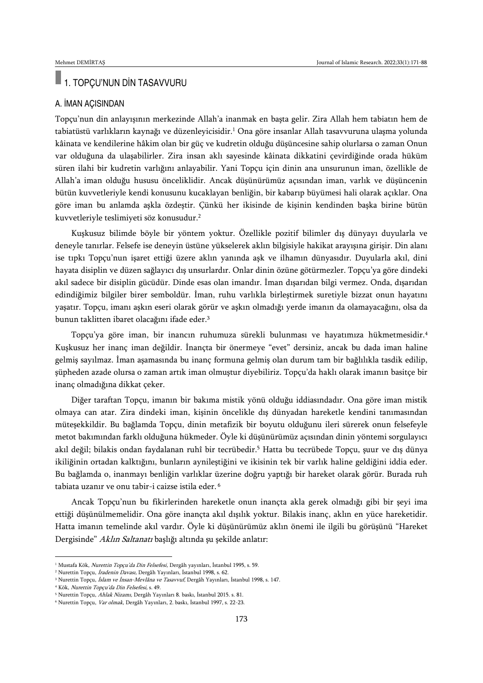### 1. TOPÇU'NUN DİN TASAVVURU

#### A. İMAN AÇISINDAN

Topçu'nun din anlayışının merkezinde Allah'a inanmak en başta gelir. Zira Allah hem tabiatın hem de tabiatüstü varlıkların kaynağı ve düzenleyicisidir.<sup>1</sup> Ona göre insanlar Allah tasavvuruna ulaşma yolunda kâinata ve kendilerine hâkim olan bir güç ve kudretin olduğu düşüncesine sahip olurlarsa o zaman Onun var olduğuna da ulaşabilirler. Zira insan aklı sayesinde kâinata dikkatini çevirdiğinde orada hüküm süren ilahi bir kudretin varlığını anlayabilir. Yani Topçu için dinin ana unsurunun iman, özellikle de Allah'a iman olduğu hususu önceliklidir. Ancak düşünürümüz açısından iman, varlık ve düşüncenin bütün kuvvetleriyle kendi konusunu kucaklayan benliğin, bir kabarıp büyümesi hali olarak açıklar. Ona göre iman bu anlamda aşkla özdeştir. Çünkü her ikisinde de kişinin kendinden başka birine bütün kuvvetleriyle teslimiyeti söz konusudur.<sup>2</sup>

Kuşkusuz bilimde böyle bir yöntem yoktur. Özellikle pozitif bilimler dış dünyayı duyularla ve deneyle tanırlar. Felsefe ise deneyin üstüne yükselerek aklın bilgisiyle hakikat arayışına girişir. Din alanı ise tıpkı Topçu'nun işaret ettiği üzere aklın yanında aşk ve ilhamın dünyasıdır. Duyularla akıl, dini hayata disiplin ve düzen sağlayıcı dış unsurlardır. Onlar dinin özüne götürmezler. Topçu'ya göre dindeki akıl sadece bir disiplin gücüdür. Dinde esas olan imandır. İman dışarıdan bilgi vermez. Onda, dışarıdan edindiğimiz bilgiler birer semboldür. İman, ruhu varlıkla birleştirmek suretiyle bizzat onun hayatını yaşatır. Topçu, imanı aşkın eseri olarak görür ve aşkın olmadığı yerde imanın da olamayacağını, olsa da bunun taklitten ibaret olacağını ifade eder.<sup>3</sup>

Topçu'ya göre iman, bir inancın ruhumuza sürekli bulunması ve hayatımıza hükmetmesidir.<sup>4</sup> Kuşkusuz her inanç iman değildir. İnançta bir önermeye "evet" dersiniz, ancak bu dada iman haline gelmiş sayılmaz. İman aşamasında bu inanç formuna gelmiş olan durum tam bir bağlılıkla tasdik edilip, şüpheden azade olursa o zaman artık iman olmuştur diyebiliriz. Topçu'da haklı olarak imanın basitçe bir inanç olmadığına dikkat çeker.

Diğer taraftan Topçu, imanın bir bakıma mistik yönü olduğu iddiasındadır. Ona göre iman mistik olmaya can atar. Zira dindeki iman, kişinin öncelikle dış dünyadan hareketle kendini tanımasından müteşekkildir. Bu bağlamda Topçu, dinin metafizik bir boyutu olduğunu ileri sürerek onun felsefeyle metot bakımından farklı olduğuna hükmeder. Öyle ki düşünürümüz açısından dinin yöntemi sorgulayıcı akıl değil; bilakis ondan faydalanan ruhî bir tecrübedir.<sup>5</sup> Hatta bu tecrübede Topçu, şuur ve dış dünya ikiliğinin ortadan kalktığını, bunların aynileştiğini ve ikisinin tek bir varlık haline geldiğini iddia eder. Bu bağlamda o, inanmayı benliğin varlıklar üzerine doğru yaptığı bir hareket olarak görür. Burada ruh tabiata uzanır ve onu tabir-i caizse istila eder. <sup>6</sup>

Ancak Topçu'nun bu fikirlerinden hareketle onun inançta akla gerek olmadığı gibi bir şeyi ima ettiği düşünülmemelidir. Ona göre inançta akıl dışılık yoktur. Bilakis inanç, aklın en yüce hareketidir. Hatta imanın temelinde akıl vardır. Öyle ki düşünürümüz aklın önemi ile ilgili bu görüşünü "Hareket Dergisinde" Aklın Saltanatı başlığı altında şu şekilde anlatır:

<sup>&</sup>lt;sup>1</sup> Mustafa Kök, Nurettin Topçu'da Din Felsefesi, Dergâh yayınları, İstanbul 1995, s. 59.

<sup>&</sup>lt;sup>2</sup> Nurettin Topçu, İradenin Davası, Dergâh Yayınları, İstanbul 1998, s. 62.

<sup>&</sup>lt;sup>3</sup> Nurettin Topçu, İslam ve İnsan-Mevlâna ve Tasavvuf, Dergâh Yayınları, İstanbul 1998, s. 147.

<sup>4</sup> Kök, Nurettin Topçu'da Din Felsefesi, s. 49.

<sup>5</sup> Nurettin Topçu, Ahlak Nizamı, Dergâh Yayınları 8. baskı, İstanbul 2015. s. 81.

<sup>&</sup>lt;sup>6</sup> Nurettin Topçu, Var olmak, Dergâh Yayınları, 2. baskı, İstanbul 1997, s. 22-23.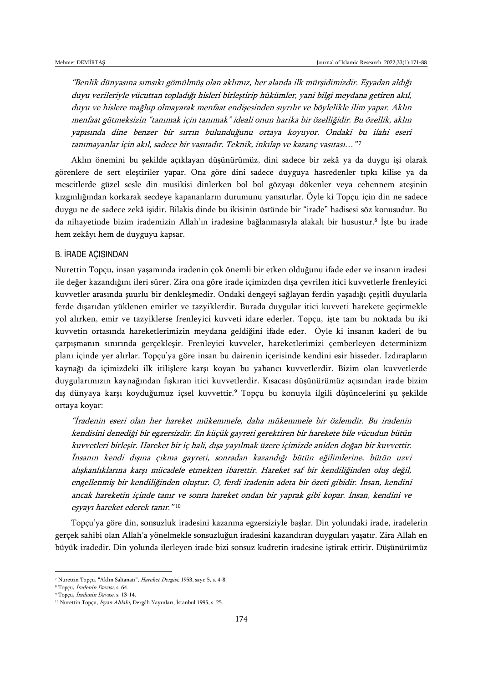"Benlik dünyasına sımsıkı gömülmüş olan aklımız, her alanda ilk mürşidimizdir. Eşyadan aldığı duyu verileriyle vücuttan topladığı hisleri birleştirip hükümler, yani bilgi meydana getiren akıl, duyu ve hislere mağlup olmayarak menfaat endişesinden sıyrılır ve böylelikle ilim yapar. Aklın menfaat gütmeksizin "tanımak için tanımak" ideali onun harika bir özelliğidir. Bu özellik, aklın yapısında dine benzer bir sırrın bulunduğunu ortaya koyuyor. Ondaki bu ilahi eseri tanımayanlar için akıl, sadece bir vasıtadır. Teknik, inkılap ve kazanç vasıtası…" 7

Aklın önemini bu şekilde açıklayan düşünürümüz, dini sadece bir zekâ ya da duygu işi olarak görenlere de sert eleştiriler yapar. Ona göre dini sadece duyguya hasredenler tıpkı kilise ya da mescitlerde güzel sesle din musikisi dinlerken bol bol gözyaşı dökenler veya cehennem ateşinin kızgınlığından korkarak secdeye kapananların durumunu yansıtırlar. Öyle ki Topçu için din ne sadece duygu ne de sadece zekâ işidir. Bilakis dinde bu ikisinin üstünde bir "irade" hadisesi söz konusudur. Bu da nihayetinde bizim irademizin Allah'ın iradesine bağlanmasıyla alakalı bir husustur.<sup>8</sup> İşte bu irade hem zekâyı hem de duyguyu kapsar.

#### B. İRADE AÇISINDAN

Nurettin Topçu, insan yaşamında iradenin çok önemli bir etken olduğunu ifade eder ve insanın iradesi ile değer kazandığını ileri sürer. Zira ona göre irade içimizden dışa çevrilen itici kuvvetlerle frenleyici kuvvetler arasında şuurlu bir denkleşmedir. Ondaki dengeyi sağlayan ferdin yaşadığı çeşitli duyularla ferde dışarıdan yüklenen emirler ve tazyiklerdir. Burada duygular itici kuvveti harekete geçirmekle yol alırken, emir ve tazyiklerse frenleyici kuvveti idare ederler. Topçu, işte tam bu noktada bu iki kuvvetin ortasında hareketlerimizin meydana geldiğini ifade eder. Öyle ki insanın kaderi de bu çarpışmanın sınırında gerçekleşir. Frenleyici kuvveler, hareketlerimizi çemberleyen determinizm planı içinde yer alırlar. Topçu'ya göre insan bu dairenin içerisinde kendini esir hisseder. Izdırapların kaynağı da içimizdeki ilk itilişlere karşı koyan bu yabancı kuvvetlerdir. Bizim olan kuvvetlerde duygularımızın kaynağından fışkıran itici kuvvetlerdir. Kısacası düşünürümüz açısından irade bizim dış dünyaya karşı koyduğumuz içsel kuvvettir.<sup>9</sup> Topçu bu konuyla ilgili düşüncelerini şu şekilde ortaya koyar:

"İradenin eseri olan her hareket mükemmele, daha mükemmele bir özlemdir. Bu iradenin kendisini denediği bir egzersizdir. En küçük gayreti gerektiren bir harekete bile vücudun bütün kuvvetleri birleşir. Hareket bir iç hali, dışa yayılmak üzere içimizde aniden doğan bir kuvvettir. İnsanın kendi dışına çıkma gayreti, sonradan kazandığı bütün eğilimlerine, bütün uzvi alışkanlıklarına karşı mücadele etmekten ibarettir. Hareket saf bir kendiliğinden oluş değil, engellenmiş bir kendiliğinden oluştur. O, ferdi iradenin adeta bir özeti gibidir. İnsan, kendini ancak hareketin içinde tanır ve sonra hareket ondan bir yaprak gibi kopar. İnsan, kendini ve eşyayı hareket ederek tanır." 10

Topçu'ya göre din, sonsuzluk iradesini kazanma egzersiziyle başlar. Din yolundaki irade, iradelerin gerçek sahibi olan Allah'a yönelmekle sonsuzluğun iradesini kazandıran duyguları yaşatır. Zira Allah en büyük iradedir. Din yolunda ilerleyen irade bizi sonsuz kudretin iradesine iştirak ettirir. Düşünürümüz

<sup>7</sup> Nurettin Topçu, "Aklın Saltanatı", Hareket Dergisi, 1953, sayı: 5, s. 4-8.

<sup>&</sup>lt;sup>8</sup> Topçu, İradenin Davası, s. 64.

<sup>9</sup> Topçu, İradenin Davası, s. 13-14.

<sup>&</sup>lt;sup>10</sup> Nurettin Topçu, İsyan Ahlakı, Dergâh Yayınları, İstanbul 1995, s. 25.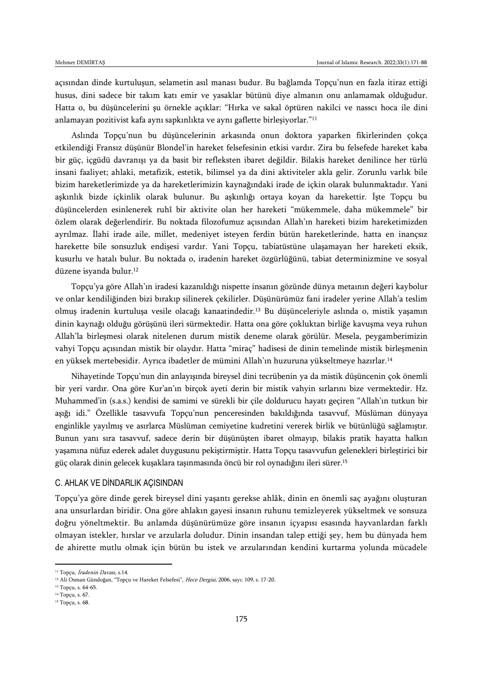açısından dinde kurtuluşun, selametin asıl manası budur. Bu bağlamda Topçu'nun en fazla itiraz ettiği husus, dini sadece bir takım katı emir ve yasaklar bütünü diye almanın onu anlamamak olduğudur. Hatta o, bu düşüncelerini şu örnekle açıklar: "Hırka ve sakal öptüren nakilci ve nasscı hoca ile dini anlamayan pozitivist kafa aynı sapkınlıkta ve aynı gaflette birleşiyorlar."<sup>11</sup>

Aslında Topçu'nun bu düşüncelerinin arkasında onun doktora yaparken fikirlerinden çokça etkilendiği Fransız düşünür Blondel'in hareket felsefesinin etkisi vardır. Zira bu felsefede hareket kaba bir güç, içgüdü davranışı ya da basit bir refleksten ibaret değildir. Bilakis hareket denilince her türlü insani faaliyet; ahlaki, metafizik, estetik, bilimsel ya da dini aktiviteler akla gelir. Zorunlu varlık bile bizim hareketlerimizde ya da hareketlerimizin kaynağındaki irade de içkin olarak bulunmaktadır. Yani aşkınlık bizde içkinlik olarak bulunur. Bu aşkınlığı ortaya koyan da harekettir. İşte Topçu bu düşüncelerden esinlenerek ruhî bir aktivite olan her hareketi "mükemmele, daha mükemmele" bir özlem olarak değerlendirir. Bu noktada filozofumuz açısından Allah'ın hareketi bizim hareketimizden ayrılmaz. İlahi irade aile, millet, medeniyet isteyen ferdin bütün hareketlerinde, hatta en inançsız harekette bile sonsuzluk endişesi vardır. Yani Topçu, tabiatüstüne ulaşamayan her hareketi eksik, kusurlu ve hatalı bulur. Bu noktada o, iradenin hareket özgürlüğünü, tabiat determinizmine ve sosyal düzene isyanda bulur.<sup>12</sup>

Topçu'ya göre Allah'ın iradesi kazanıldığı nispette insanın gözünde dünya metaının değeri kaybolur ve onlar kendiliğinden bizi bırakıp silinerek çekilirler. Düşünürümüz fani iradeler yerine Allah'a teslim olmuş iradenin kurtuluşa vesile olacağı kanaatindedir.<sup>13</sup> Bu düşünceleriyle aslında o, mistik yaşamın dinin kaynağı olduğu görüşünü ileri sürmektedir. Hatta ona göre çokluktan birliğe kavuşma veya ruhun Allah'la birleşmesi olarak nitelenen durum mistik deneme olarak görülür. Mesela, peygamberimizin vahyi Topçu açısından mistik bir olaydır. Hatta "miraç" hadisesi de dinin temelinde mistik birleşmenin en yüksek mertebesidir. Ayrıca ibadetler de mümini Allah'ın huzuruna yükseltmeye hazırlar.<sup>14</sup>

Nihayetinde Topçu'nun din anlayışında bireysel dini tecrübenin ya da mistik düşüncenin çok önemli bir yeri vardır. Ona göre Kur'an'ın birçok ayeti derin bir mistik vahyin sırlarını bize vermektedir. Hz. Muhammed'in (s.a.s.) kendisi de samimi ve sürekli bir çile doldurucu hayatı geçiren "Allah'ın tutkun bir aşığı idi." Özellikle tasavvufa Topçu'nun penceresinden bakıldığında tasavvuf, Müslüman dünyaya enginlikle yayılmış ve asırlarca Müslüman cemiyetine kudretini vererek birlik ve bütünlüğü sağlamıştır. Bunun yanı sıra tasavvuf, sadece derin bir düşünüşten ibaret olmayıp, bilakis pratik hayatta halkın yaşamına nüfuz ederek adalet duygusunu pekiştirmiştir. Hatta Topçu tasavvufun gelenekleri birleştirici bir güç olarak dinin gelecek kuşaklara taşınmasında öncü bir rol oynadığını ileri sürer.<sup>15</sup>

#### C. AHLAK VE DİNDARLIK AÇISINDAN

Topçu'ya göre dinde gerek bireysel dini yaşantı gerekse ahlâk, dinin en önemli saç ayağını oluşturan ana unsurlardan biridir. Ona göre ahlakın gayesi insanın ruhunu temizleyerek yükseltmek ve sonsuza doğru yöneltmektir. Bu anlamda düşünürümüze göre insanın içyapısı esasında hayvanlardan farklı olmayan istekler, hırslar ve arzularla doludur. Dinin insandan talep ettiği şey, hem bu dünyada hem de ahirette mutlu olmak için bütün bu istek ve arzularından kendini kurtarma yolunda mücadele

<sup>11</sup> Topçu, İradenin Davası, s.14.

<sup>&</sup>lt;sup>12</sup> Ali Osman Gündoğan, "Topçu ve Hareket Felsefesi", Hece Dergisi, 2006, sayı: 109, s. 17-20.

<sup>13</sup> Topçu, s. 64-65. <sup>14</sup> Topçu, s. 67.

<sup>15</sup> Topçu, s. 68.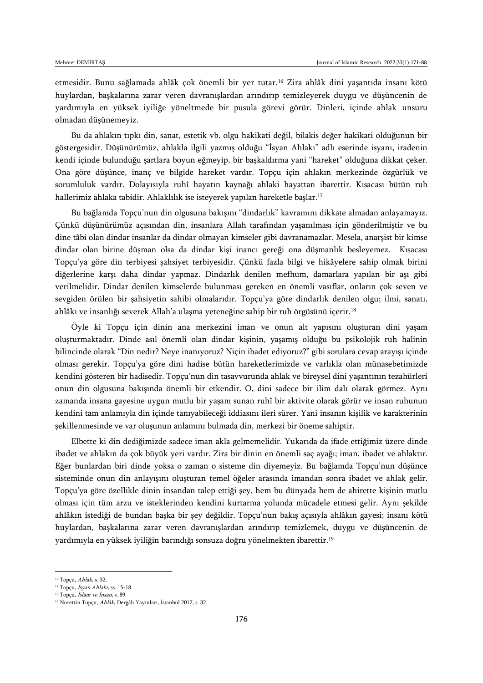etmesidir. Bunu sağlamada ahlâk çok önemli bir yer tutar.<sup>16</sup> Zira ahlâk dini yaşantıda insanı kötü huylardan, başkalarına zarar veren davranışlardan arındırıp temizleyerek duygu ve düşüncenin de yardımıyla en yüksek iyiliğe yöneltmede bir pusula görevi görür. Dinleri, içinde ahlak unsuru olmadan düşünemeyiz.

Bu da ahlakın tıpkı din, sanat, estetik vb. olgu hakikati değil, bilakis değer hakikati olduğunun bir göstergesidir. Düşünürümüz, ahlakla ilgili yazmış olduğu "İsyan Ahlakı" adlı eserinde isyanı, iradenin kendi içinde bulunduğu şartlara boyun eğmeyip, bir başkaldırma yani "hareket" olduğuna dikkat çeker. Ona göre düşünce, inanç ve bilgide hareket vardır. Topçu için ahlakın merkezinde özgürlük ve sorumluluk vardır. Dolayısıyla ruhî hayatın kaynağı ahlaki hayattan ibarettir. Kısacası bütün ruh hallerimiz ahlaka tabidir. Ahlaklılık ise isteyerek yapılan hareketle başlar.<sup>17</sup>

Bu bağlamda Topçu'nun din olgusuna bakışını "dindarlık" kavramını dikkate almadan anlayamayız. Çünkü düşünürümüz açısından din, insanlara Allah tarafından yaşanılması için gönderilmiştir ve bu dine tâbi olan dindar insanlar da dindar olmayan kimseler gibi davranamazlar. Mesela, anarşist bir kimse dindar olan birine düşman olsa da dindar kişi inancı gereği ona düşmanlık besleyemez. Kısacası Topçu'ya göre din terbiyesi şahsiyet terbiyesidir. Çünkü fazla bilgi ve hikâyelere sahip olmak birini diğerlerine karşı daha dindar yapmaz. Dindarlık denilen mefhum, damarlara yapılan bir aşı gibi verilmelidir. Dindar denilen kimselerde bulunması gereken en önemli vasıflar, onların çok seven ve sevgiden örülen bir şahsiyetin sahibi olmalarıdır. Topçu'ya göre dindarlık denilen olgu; ilmi, sanatı, ahlâkı ve insanlığı severek Allah'a ulaşma yeteneğine sahip bir ruh örgüsünü içerir.<sup>18</sup>

Öyle ki Topçu için dinin ana merkezini iman ve onun alt yapısını oluşturan dini yaşam oluşturmaktadır. Dinde asıl önemli olan dindar kişinin, yaşamış olduğu bu psikolojik ruh halinin bilincinde olarak "Din nedir? Neye inanıyoruz? Niçin ibadet ediyoruz?" gibi sorulara cevap arayışı içinde olması gerekir. Topçu'ya göre dini hadise bütün hareketlerimizde ve varlıkla olan münasebetimizde kendini gösteren bir hadisedir. Topçu'nun din tasavvurunda ahlak ve bireysel dini yaşantının tezahürleri onun din olgusuna bakışında önemli bir etkendir. O, dini sadece bir ilim dalı olarak görmez. Aynı zamanda insana gayesine uygun mutlu bir yaşam sunan ruhî bir aktivite olarak görür ve insan ruhunun kendini tam anlamıyla din içinde tanıyabileceği iddiasını ileri sürer. Yani insanın kişilik ve karakterinin şekillenmesinde ve var oluşunun anlamını bulmada din, merkezi bir öneme sahiptir.

Elbette ki din dediğimizde sadece iman akla gelmemelidir. Yukarıda da ifade ettiğimiz üzere dinde ibadet ve ahlakın da çok büyük yeri vardır. Zira bir dinin en önemli saç ayağı; iman, ibadet ve ahlaktır. Eğer bunlardan biri dinde yoksa o zaman o sisteme din diyemeyiz. Bu bağlamda Topçu'nun düşünce sisteminde onun din anlayışını oluşturan temel öğeler arasında imandan sonra ibadet ve ahlak gelir. Topçu'ya göre özellikle dinin insandan talep ettiği şey, hem bu dünyada hem de ahirette kişinin mutlu olması için tüm arzu ve isteklerinden kendini kurtarma yolunda mücadele etmesi gelir. Aynı şekilde ahlâkın istediği de bundan başka bir şey değildir. Topçu'nun bakış açısıyla ahlâkın gayesi; insanı kötü huylardan, başkalarına zarar veren davranışlardan arındırıp temizlemek, duygu ve düşüncenin de yardımıyla en yüksek iyiliğin barındığı sonsuza doğru yönelmekten ibarettir.<sup>19</sup>

<sup>&</sup>lt;sup>16</sup> Topçu, Ahlâk, s. 32.

<sup>&</sup>lt;sup>17</sup> Topçu, İsyan Ahlakı, ss. 15-18.

<sup>&</sup>lt;sup>18</sup> Topçu, *İslam ve İnsan*, s. 89.

<sup>19</sup> Nurettin Topçu, Ahlâk, Dergâh Yayınları, İstanbul 2017, s. 32.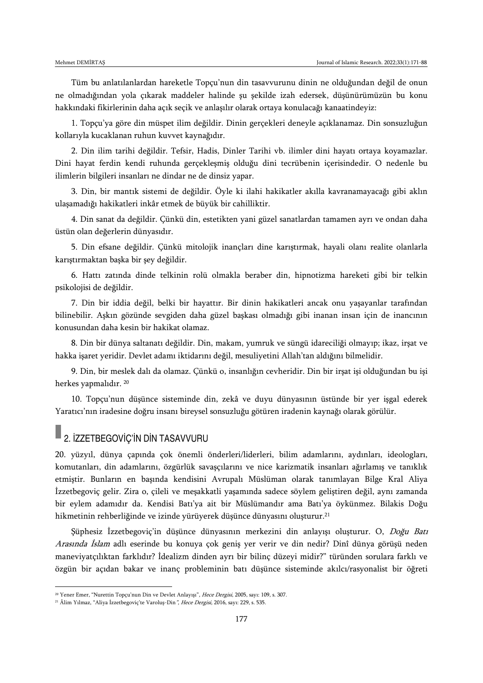Tüm bu anlatılanlardan hareketle Topçu'nun din tasavvurunu dinin ne olduğundan değil de onun ne olmadığından yola çıkarak maddeler halinde şu şekilde izah edersek, düşünürümüzün bu konu hakkındaki fikirlerinin daha açık seçik ve anlaşılır olarak ortaya konulacağı kanaatindeyiz:

1. Topçu'ya göre din müspet ilim değildir. Dinin gerçekleri deneyle açıklanamaz. Din sonsuzluğun kollarıyla kucaklanan ruhun kuvvet kaynağıdır.

2. Din ilim tarihi değildir. Tefsir, Hadis, Dinler Tarihi vb. ilimler dini hayatı ortaya koyamazlar. Dini hayat ferdin kendi ruhunda gerçekleşmiş olduğu dini tecrübenin içerisindedir. O nedenle bu ilimlerin bilgileri insanları ne dindar ne de dinsiz yapar.

3. Din, bir mantık sistemi de değildir. Öyle ki ilahi hakikatler akılla kavranamayacağı gibi aklın ulaşamadığı hakikatleri inkâr etmek de büyük bir cahilliktir.

4. Din sanat da değildir. Çünkü din, estetikten yani güzel sanatlardan tamamen ayrı ve ondan daha üstün olan değerlerin dünyasıdır.

5. Din efsane değildir. Çünkü mitolojik inançları dine karıştırmak, hayali olanı realite olanlarla karıştırmaktan başka bir şey değildir.

6. Hattı zatında dinde telkinin rolü olmakla beraber din, hipnotizma hareketi gibi bir telkin psikolojisi de değildir.

7. Din bir iddia değil, belki bir hayattır. Bir dinin hakikatleri ancak onu yaşayanlar tarafından bilinebilir. Aşkın gözünde sevgiden daha güzel başkası olmadığı gibi inanan insan için de inancının konusundan daha kesin bir hakikat olamaz.

8. Din bir dünya saltanatı değildir. Din, makam, yumruk ve süngü idareciliği olmayıp; ikaz, irşat ve hakka işaret yeridir. Devlet adamı iktidarını değil, mesuliyetini Allah'tan aldığını bilmelidir.

9. Din, bir meslek dalı da olamaz. Çünkü o, insanlığın cevheridir. Din bir irşat işi olduğundan bu işi herkes yapmalıdır. <sup>20</sup>

10. Topçu'nun düşünce sisteminde din, zekâ ve duyu dünyasının üstünde bir yer işgal ederek Yaratıcı'nın iradesine doğru insanı bireysel sonsuzluğu götüren iradenin kaynağı olarak görülür.

# **2. İZZETBEGOVİÇ'İN DİN TASAVVURU**

 $\overline{a}$ 

20. yüzyıl, dünya çapında çok önemli önderleri/liderleri, bilim adamlarını, aydınları, ideologları, komutanları, din adamlarını, özgürlük savaşçılarını ve nice karizmatik insanları ağırlamış ve tanıklık etmiştir. Bunların en başında kendisini Avrupalı Müslüman olarak tanımlayan Bilge Kral Aliya İzzetbegoviç gelir. Zira o, çileli ve meşakkatli yaşamında sadece söylem geliştiren değil, aynı zamanda bir eylem adamıdır da. Kendisi Batı'ya ait bir Müslümandır ama Batı'ya öykünmez. Bilakis Doğu hikmetinin rehberliğinde ve izinde yürüyerek düşünce dünyasını oluşturur.<sup>21</sup>

Şüphesiz İzzetbegoviç'in düşünce dünyasının merkezini din anlayışı oluşturur. O, Doğu Batı Arasında İslam adlı eserinde bu konuya çok geniş yer verir ve din nedir? Dinî dünya görüşü neden maneviyatçılıktan farklıdır? İdealizm dinden ayrı bir bilinç düzeyi midir?" türünden sorulara farklı ve özgün bir açıdan bakar ve inanç probleminin batı düşünce sisteminde akılcı/rasyonalist bir öğreti

<sup>&</sup>lt;sup>20</sup> Yener Emer, "Nurettin Topçu'nun Din ve Devlet Anlayışı", *Hece Dergisi*, 2005, sayı: 109, s. 307.

<sup>&</sup>lt;sup>21</sup> Âlim Yılmaz, "Aliya İzzetbegoviç'te Varoluş-Din", Hece Dergisi, 2016, sayı: 229, s. 535.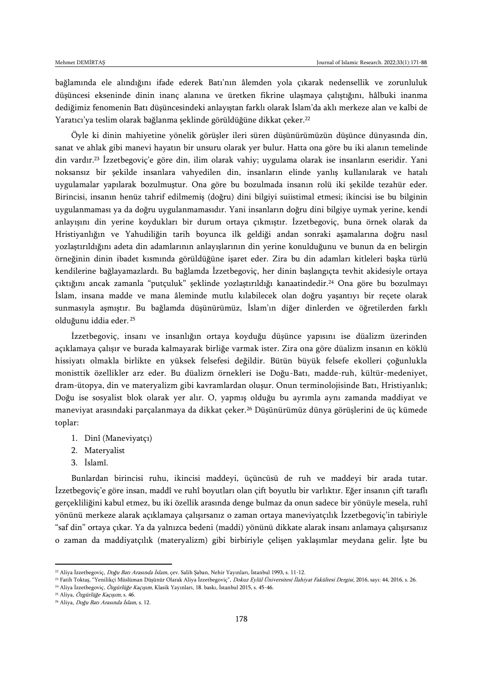bağlamında ele alındığını ifade ederek Batı'nın âlemden yola çıkarak nedensellik ve zorunluluk düşüncesi ekseninde dinin inanç alanına ve üretken fikrine ulaşmaya çalıştığını, hâlbuki inanma dediğimiz fenomenin Batı düşüncesindeki anlayıştan farklı olarak İslam'da aklı merkeze alan ve kalbi de Yaratıcı'ya teslim olarak bağlanma şeklinde görüldüğüne dikkat çeker.<sup>22</sup>

Öyle ki dinin mahiyetine yönelik görüşler ileri süren düşünürümüzün düşünce dünyasında din, sanat ve ahlak gibi manevi hayatın bir unsuru olarak yer bulur. Hatta ona göre bu iki alanın temelinde din vardır.<sup>23</sup> İzzetbegoviç'e göre din, ilim olarak vahiy; uygulama olarak ise insanların eseridir. Yani noksansız bir şekilde insanlara vahyedilen din, insanların elinde yanlış kullanılarak ve hatalı uygulamalar yapılarak bozulmuştur. Ona göre bu bozulmada insanın rolü iki şekilde tezahür eder. Birincisi, insanın henüz tahrif edilmemiş (doğru) dini bilgiyi suiistimal etmesi; ikincisi ise bu bilginin uygulanmaması ya da doğru uygulanmamasıdır. Yani insanların doğru dini bilgiye uymak yerine, kendi anlayışını din yerine koydukları bir durum ortaya çıkmıştır. İzzetbegoviç, buna örnek olarak da Hristiyanlığın ve Yahudiliğin tarih boyunca ilk geldiği andan sonraki aşamalarına doğru nasıl yozlaştırıldığını adeta din adamlarının anlayışlarının din yerine konulduğunu ve bunun da en belirgin örneğinin dinin ibadet kısmında görüldüğüne işaret eder. Zira bu din adamları kitleleri başka türlü kendilerine bağlayamazlardı. Bu bağlamda İzzetbegoviç, her dinin başlangıçta tevhit akidesiyle ortaya çıktığını ancak zamanla "putçuluk" şeklinde yozlaştırıldığı kanaatindedir.<sup>24</sup> Ona göre bu bozulmayı İslam, insana madde ve mana âleminde mutlu kılabilecek olan doğru yaşantıyı bir reçete olarak sunmasıyla aşmıştır. Bu bağlamda düşünürümüz, İslam'ın diğer dinlerden ve öğretilerden farklı olduğunu iddia eder. <sup>25</sup>

İzzetbegoviç, insanı ve insanlığın ortaya koyduğu düşünce yapısını ise düalizm üzerinden açıklamaya çalışır ve burada kalmayarak birliğe varmak ister. Zira ona göre düalizm insanın en köklü hissiyatı olmakla birlikte en yüksek felsefesi değildir. Bütün büyük felsefe ekolleri çoğunlukla monisttik özellikler arz eder. Bu düalizm örnekleri ise Doğu-Batı, madde-ruh, kültür-medeniyet, dram-ütopya, din ve materyalizm gibi kavramlardan oluşur. Onun terminolojisinde Batı, Hristiyanlık; Doğu ise sosyalist blok olarak yer alır. O, yapmış olduğu bu ayrımla aynı zamanda maddiyat ve maneviyat arasındaki parçalanmaya da dikkat çeker.<sup>26</sup> Düşünürümüz dünya görüşlerini de üç kümede toplar:

- 1. Dinî (Maneviyatçı)
- 2. Materyalist
- 3. İslamî.

Bunlardan birincisi ruhu, ikincisi maddeyi, üçüncüsü de ruh ve maddeyi bir arada tutar. İzzetbegoviç'e göre insan, maddî ve ruhî boyutları olan çift boyutlu bir varlıktır. Eğer insanın çift taraflı gerçekliliğini kabul etmez, bu iki özellik arasında denge bulmaz da onun sadece bir yönüyle mesela, ruhî yönünü merkeze alarak açıklamaya çalışırsanız o zaman ortaya maneviyatçılık İzzetbegoviç'in tabiriyle "saf din" ortaya çıkar. Ya da yalnızca bedeni (maddi) yönünü dikkate alarak insanı anlamaya çalışırsanız o zaman da maddiyatçılık (materyalizm) gibi birbiriyle çelişen yaklaşımlar meydana gelir. İşte bu

<sup>&</sup>lt;sup>22</sup> Aliya İzzetbegoviç, *Doğu Batı Arasında İslam*, çev. Salih Şaban, Nehir Yayınları, İstanbul 1993, s. 11-12.

<sup>&</sup>lt;sup>23</sup> Fatih Toktaş, "Yenilikçi Müslüman Düşünür Olarak Aliya İzzetbegoviç", *Dokuz Eylül Üniversitesi İlahiyat Fakültesi Dergisi*, 2016, sayı: 44, 2016, s. 26.

<sup>&</sup>lt;sup>24</sup> Aliya İzzetbegoviç, Özgürlüğe Kaçışım, Klasik Yayınları, 18. baskı, İstanbul 2015, s. 45-46. <sup>25</sup> Aliya, Özgürlüğe Kaçışım, s. 46.

<sup>&</sup>lt;sup>26</sup> Aliya, Doğu Batı Arasında İslam, s. 12.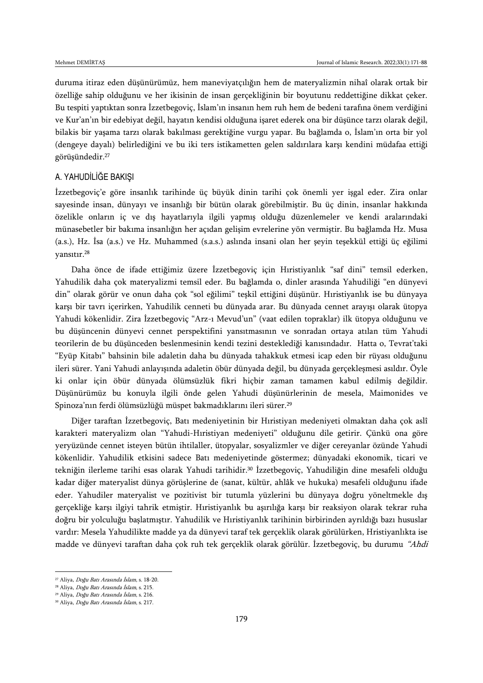duruma itiraz eden düşünürümüz, hem maneviyatçılığın hem de materyalizmin nihaî olarak ortak bir özelliğe sahip olduğunu ve her ikisinin de insan gerçekliğinin bir boyutunu reddettiğine dikkat çeker. Bu tespiti yaptıktan sonra İzzetbegoviç, İslam'ın insanın hem ruh hem de bedeni tarafına önem verdiğini ve Kur'an'ın bir edebiyat değil, hayatın kendisi olduğuna işaret ederek ona bir düşünce tarzı olarak değil, bilakis bir yaşama tarzı olarak bakılması gerektiğine vurgu yapar. Bu bağlamda o, İslam'ın orta bir yol (dengeye dayalı) belirlediğini ve bu iki ters istikametten gelen saldırılara karşı kendini müdafaa ettiği görüşündedir.<sup>27</sup>

#### A. YAHUDİLİĞE BAKIŞI

İzzetbegoviç'e göre insanlık tarihinde üç büyük dinin tarihi çok önemli yer işgal eder. Zira onlar sayesinde insan, dünyayı ve insanlığı bir bütün olarak görebilmiştir. Bu üç dinin, insanlar hakkında özelikle onların iç ve dış hayatlarıyla ilgili yapmış olduğu düzenlemeler ve kendi aralarındaki münasebetler bir bakıma insanlığın her açıdan gelişim evrelerine yön vermiştir. Bu bağlamda Hz. Musa (a.s.), Hz. İsa (a.s.) ve Hz. Muhammed (s.a.s.) aslında insani olan her şeyin teşekkül ettiği üç eğilimi yansıtır.<sup>28</sup>

Daha önce de ifade ettiğimiz üzere İzzetbegoviç için Hıristiyanlık "saf dini" temsil ederken, Yahudilik daha çok materyalizmi temsil eder. Bu bağlamda o, dinler arasında Yahudiliği "en dünyevi din" olarak görür ve onun daha çok "sol eğilimi" teşkil ettiğini düşünür. Hıristiyanlık ise bu dünyaya karşı bir tavrı içerirken, Yahudilik cenneti bu dünyada arar. Bu dünyada cennet arayışı olarak ütopya Yahudi kökenlidir. Zira İzzetbegoviç "Arz-ı Mevud'un" (vaat edilen topraklar) ilk ütopya olduğunu ve bu düşüncenin dünyevi cennet perspektifini yansıtmasının ve sonradan ortaya atılan tüm Yahudi teorilerin de bu düşünceden beslenmesinin kendi tezini desteklediği kanısındadır. Hatta o, Tevrat'taki "Eyüp Kitabı" bahsinin bile adaletin daha bu dünyada tahakkuk etmesi icap eden bir rüyası olduğunu ileri sürer. Yani Yahudi anlayışında adaletin öbür dünyada değil, bu dünyada gerçekleşmesi asıldır. Öyle ki onlar için öbür dünyada ölümsüzlük fikri hiçbir zaman tamamen kabul edilmiş değildir. Düşünürümüz bu konuyla ilgili önde gelen Yahudi düşünürlerinin de mesela, Maimonides ve Spinoza'nın ferdi ölümsüzlüğü müspet bakmadıklarını ileri sürer.<sup>29</sup>

Diğer taraftan İzzetbegoviç, Batı medeniyetinin bir Hıristiyan medeniyeti olmaktan daha çok aslî karakteri materyalizm olan "Yahudi-Hıristiyan medeniyeti" olduğunu dile getirir. Çünkü ona göre yeryüzünde cennet isteyen bütün ihtilaller, ütopyalar, sosyalizmler ve diğer cereyanlar özünde Yahudi kökenlidir. Yahudilik etkisini sadece Batı medeniyetinde göstermez; dünyadaki ekonomik, ticari ve tekniğin ilerleme tarihi esas olarak Yahudi tarihidir.<sup>30</sup> İzzetbegoviç, Yahudiliğin dine mesafeli olduğu kadar diğer materyalist dünya görüşlerine de (sanat, kültür, ahlâk ve hukuka) mesafeli olduğunu ifade eder. Yahudiler materyalist ve pozitivist bir tutumla yüzlerini bu dünyaya doğru yöneltmekle dış gerçekliğe karşı ilgiyi tahrik etmiştir. Hıristiyanlık bu aşırılığa karşı bir reaksiyon olarak tekrar ruha doğru bir yolculuğu başlatmıştır. Yahudilik ve Hıristiyanlık tarihinin birbirinden ayrıldığı bazı hususlar vardır: Mesela Yahudilikte madde ya da dünyevi taraf tek gerçeklik olarak görülürken, Hristiyanlıkta ise madde ve dünyevi taraftan daha çok ruh tek gerçeklik olarak görülür. İzzetbegoviç, bu durumu "Ahdi

 $\overline{\phantom{a}}$ <sup>27</sup> Aliya, Doğu Batı Arasında İslam, s. 18-20.

<sup>&</sup>lt;sup>28</sup> Aliya, *Doğu Batı Arasında İslam*, s. 215.

<sup>29</sup> Aliya, Doğu Batı Arasında İslam, s. 216.

<sup>30</sup> Aliya, Doğu Batı Arasında İslam, s. 217.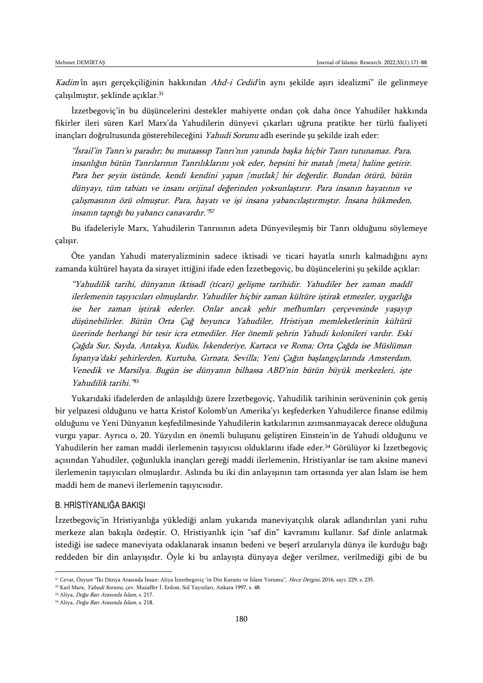Kadim'in aşırı gerçekçiliğinin hakkından Ahd-i Cedid'in aynı şekilde aşırı idealizmi" ile gelinmeye çalışılmıştır, şeklinde açıklar.<sup>31</sup>

İzzetbegoviç'in bu düşüncelerini destekler mahiyette ondan çok daha önce Yahudiler hakkında fikirler ileri süren Karl Marx'da Yahudilerin dünyevi çıkarları uğruna pratikte her türlü faaliyeti inançları doğrultusunda gösterebileceğini Yahudi Sorunu adlı eserinde şu şekilde izah eder:

"İsrail'in Tanrı'sı paradır; bu mutaassıp Tanrı'nın yanında başka hiçbir Tanrı tutunamaz. Para, insanlığın bütün Tanrılarının Tanrılıklarını yok eder, hepsini bir matah [meta] haline getirir. Para her şeyin üstünde, kendi kendini yapan [mutlak] bir değerdir. Bundan ötürü, bütün dünyayı, tüm tabiatı ve insanı orijinal değerinden yoksunlaştırır. Para insanın hayatının ve çalışmasının özü olmuştur. Para, hayatı ve işi insana yabancılaştırmıştır. İnsana hükmeden, insanın taptığı bu yabancı canavardır." 32

Bu ifadeleriyle Marx, Yahudilerin Tanrısının adeta Dünyevileşmiş bir Tanrı olduğunu söylemeye çalışır.

Öte yandan Yahudi materyalizminin sadece iktisadi ve ticari hayatla sınırlı kalmadığını aynı zamanda kültürel hayata da sirayet ittiğini ifade eden İzzetbegoviç, bu düşüncelerini şu şekilde açıklar:

"Yahudilik tarihi, dünyanın iktisadî (ticari) gelişme tarihidir. Yahudiler her zaman maddî ilerlemenin taşıyıcıları olmuşlardır. Yahudiler hiçbir zaman kültüre iştirak etmezler, uygarlığa ise her zaman iştirak ederler. Onlar ancak şehir mefhumları çerçevesinde yaşayıp düşünebilirler. Bütün Orta Çağ boyunca Yahudiler, Hristiyan memleketlerinin kültürü üzerinde herhangi bir tesir icra etmediler. Her önemli şehrin Yahudi kolonileri vardır. Eski Çağda Sur, Sayda, Antakya, Kudüs, İskenderiye, Kartaca ve Roma; Orta Çağda ise Müslüman İspanya'daki şehirlerden, Kurtuba, Gırnata, Sevilla; Yeni Çağın başlangıçlarında Amsterdam, Venedik ve Marsilya. Bugün ise dünyanın bilhassa ABD'nin bütün büyük merkezleri, işte Yahudilik tarihi." 33

Yukarıdaki ifadelerden de anlaşıldığı üzere İzzetbegoviç, Yahudilik tarihinin serüveninin çok geniş bir yelpazesi olduğunu ve hatta Kristof Kolomb'un Amerika'yı keşfederken Yahudilerce finanse edilmiş olduğunu ve Yeni Dünyanın keşfedilmesinde Yahudilerin katkılarının azımsanmayacak derece olduğuna vurgu yapar. Ayrıca o, 20. Yüzyılın en önemli buluşunu geliştiren Einstein'in de Yahudi olduğunu ve Yahudilerin her zaman maddi ilerlemenin taşıyıcısı olduklarını ifade eder.<sup>34</sup> Görülüyor ki İzzetbegoviç açısından Yahudiler, çoğunlukla inançları gereği maddi ilerlemenin, Hristiyanlar ise tam aksine manevi ilerlemenin taşıyıcıları olmuşlardır. Aslında bu iki din anlayışının tam ortasında yer alan İslam ise hem maddi hem de manevi ilerlemenin taşıyıcısıdır.

#### B. HRİSTİYANLIĞA BAKIŞI

İzzetbegoviç'in Hristiyanlığa yüklediği anlam yukarıda maneviyatçılık olarak adlandırılan yani ruhu merkeze alan bakışla özdeştir. O, Hristiyanlık için "saf din" kavramını kullanır. Saf dinle anlatmak istediği ise sadece maneviyata odaklanarak insanın bedeni ve beşerî arzularıyla dünya ile kurduğu bağı reddeden bir din anlayışıdır. Öyle ki bu anlayışta dünyaya değer verilmez, verilmediği gibi de bu

<sup>&</sup>lt;sup>31</sup> Cevat, Özyurt "İki Dünya Arasında İnsan: Aliya İzzetbegoviç 'in Din Kuramı ve İslam Yorumu", Hece Dergisi, 2016, sayı: 229, s. 235.

<sup>32</sup> Karl Marx, Yahudi Sorunu, çev. Muzaffer İ. Erdost, Sol Yayınları, Ankara 1997, s. 48.

<sup>33</sup> Aliya, Doğu Batı Arasında İslam, s. 217.

<sup>34</sup> Aliya, Doğu Batı Arasında İslam, s. 218.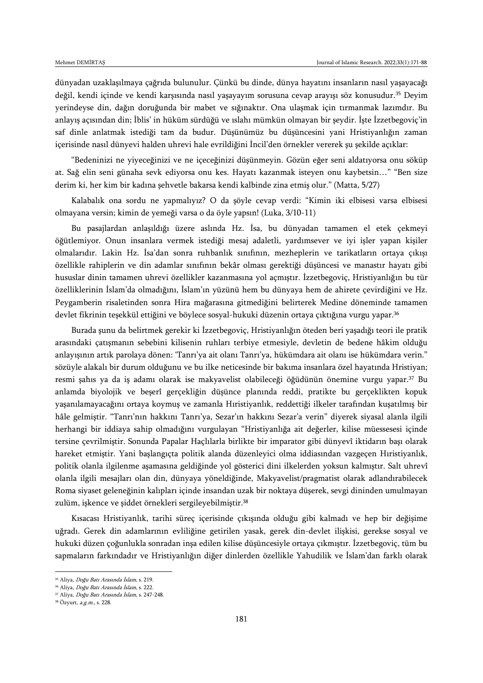dünyadan uzaklaşılmaya çağrıda bulunulur. Çünkü bu dinde, dünya hayatını insanların nasıl yaşayacağı değil, kendi içinde ve kendi karşısında nasıl yaşayayım sorusuna cevap arayışı söz konusudur.<sup>35</sup> Deyim yerindeyse din, dağın doruğunda bir mabet ve sığınaktır. Ona ulaşmak için tırmanmak lazımdır. Bu anlayış açısından din; İblis' in hüküm sürdüğü ve ıslahı mümkün olmayan bir şeydir. İşte İzzetbegoviç'in saf dinle anlatmak istediği tam da budur. Düşünümüz bu düşüncesini yani Hristiyanlığın zaman içerisinde nasıl dünyevi halden uhrevi hale evrildiğini İncil'den örnekler vererek şu şekilde açıklar:

"Bedeninizi ne yiyeceğinizi ve ne içeceğinizi düşünmeyin. Gözün eğer seni aldatıyorsa onu söküp at. Sağ elin seni günaha sevk ediyorsa onu kes. Hayatı kazanmak isteyen onu kaybetsin…" "Ben size derim ki, her kim bir kadına şehvetle bakarsa kendi kalbinde zina etmiş olur." (Matta, 5/27)

Kalabalık ona sordu ne yapmalıyız? O da şöyle cevap verdi: "Kimin iki elbisesi varsa elbisesi olmayana versin; kimin de yemeği varsa o da öyle yapsın! (Luka, 3/10-11)

Bu pasajlardan anlaşıldığı üzere aslında Hz. İsa, bu dünyadan tamamen el etek çekmeyi öğütlemiyor. Onun insanlara vermek istediği mesaj adaletli, yardımsever ve iyi işler yapan kişiler olmalarıdır. Lakin Hz. İsa'dan sonra ruhbanlık sınıfının, mezheplerin ve tarikatların ortaya çıkışı özellikle rahiplerin ve din adamlar sınıfının bekâr olması gerektiği düşüncesi ve manastır hayatı gibi hususlar dinin tamamen uhrevi özellikler kazanmasına yol açmıştır. İzzetbegoviç, Hristiyanlığın bu tür özelliklerinin İslam'da olmadığını, İslam'ın yüzünü hem bu dünyaya hem de ahirete çevirdiğini ve Hz. Peygamberin risaletinden sonra Hira mağarasına gitmediğini belirterek Medine döneminde tamamen devlet fikrinin teşekkül ettiğini ve böylece sosyal-hukuki düzenin ortaya çıktığına vurgu yapar.<sup>36</sup>

Burada şunu da belirtmek gerekir ki İzzetbegoviç, Hristiyanlığın öteden beri yaşadığı teori ile pratik arasındaki çatışmanın sebebini kilisenin ruhları terbiye etmesiyle, devletin de bedene hâkim olduğu anlayışının artık parolaya dönen: 'Tanrı'ya ait olanı Tanrı'ya, hükümdara ait olanı ise hükümdara verin." sözüyle alakalı bir durum olduğunu ve bu ilke neticesinde bir bakıma insanlara özel hayatında Hristiyan; resmi şahıs ya da iş adamı olarak ise makyavelist olabileceği öğüdünün önemine vurgu yapar.<sup>37</sup> Bu anlamda biyolojik ve beşerî gerçekliğin düşünce planında reddi, pratikte bu gerçeklikten kopuk yaşanılamayacağını ortaya koymuş ve zamanla Hıristiyanlık, reddettiği ilkeler tarafından kuşatılmış bir hâle gelmiştir. "Tanrı'nın hakkını Tanrı'ya, Sezar'ın hakkını Sezar'a verin" diyerek siyasal alanla ilgili herhangi bir iddiaya sahip olmadığını vurgulayan "Hristiyanlığa ait değerler, kilise müessesesi içinde tersine çevrilmiştir. Sonunda Papalar Haçlılarla birlikte bir imparator gibi dünyevî iktidarın başı olarak hareket etmiştir. Yani başlangıçta politik alanda düzenleyici olma iddiasından vazgeçen Hıristiyanlık, politik olanla ilgilenme aşamasına geldiğinde yol gösterici dini ilkelerden yoksun kalmıştır. Salt uhrevî olanla ilgili mesajları olan din, dünyaya yöneldiğinde, Makyavelist/pragmatist olarak adlandırabilecek Roma siyaset geleneğinin kalıpları içinde insandan uzak bir noktaya düşerek, sevgi dininden umulmayan zulüm, işkence ve şiddet örnekleri sergileyebilmiştir.<sup>38</sup>

Kısacası Hristiyanlık, tarihi süreç içerisinde çıkışında olduğu gibi kalmadı ve hep bir değişime uğradı. Gerek din adamlarının evliliğine getirilen yasak, gerek din-devlet ilişkisi, gerekse sosyal ve hukuki düzen çoğunlukla sonradan inşa edilen kilise düşüncesiyle ortaya çıkmıştır. İzzetbegoviç, tüm bu sapmaların farkındadır ve Hristiyanlığın diğer dinlerden özellikle Yahudilik ve İslam'dan farklı olarak

<sup>35</sup> Aliya, Doğu Batı Arasında İslam, s. 219.

<sup>36</sup> Aliya, Doğu Batı Arasında İslam, s. 222.

<sup>37</sup> Aliya, Doğu Batı Arasında İslam, s. 247-248.

<sup>38</sup> Özyurt, a.g.m., s. 228.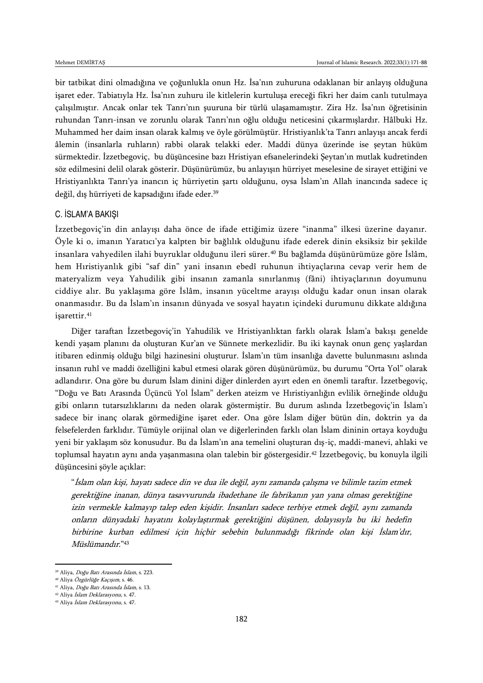bir tatbikat dini olmadığına ve çoğunlukla onun Hz. İsa'nın zuhuruna odaklanan bir anlayış olduğuna işaret eder. Tabiatıyla Hz. İsa'nın zuhuru ile kitlelerin kurtuluşa ereceği fikri her daim canlı tutulmaya çalışılmıştır. Ancak onlar tek Tanrı'nın şuuruna bir türlü ulaşamamıştır. Zira Hz. İsa'nın öğretisinin ruhundan Tanrı-insan ve zorunlu olarak Tanrı'nın oğlu olduğu neticesini çıkarmışlardır. Hâlbuki Hz. Muhammed her daim insan olarak kalmış ve öyle görülmüştür. Hristiyanlık'ta Tanrı anlayışı ancak ferdi âlemin (insanlarla ruhların) rabbi olarak telakki eder. Maddi dünya üzerinde ise şeytan hüküm sürmektedir. İzzetbegoviç, bu düşüncesine bazı Hristiyan efsanelerindeki Şeytan'ın mutlak kudretinden söz edilmesini delil olarak gösterir. Düşünürümüz, bu anlayışın hürriyet meselesine de sirayet ettiğini ve Hristiyanlıkta Tanrı'ya inancın iç hürriyetin şartı olduğunu, oysa İslam'ın Allah inancında sadece iç değil, dış hürriyeti de kapsadığını ifade eder.<sup>39</sup>

#### C. İSLAM'A BAKIŞI

İzzetbegoviç'in din anlayışı daha önce de ifade ettiğimiz üzere "inanma" ilkesi üzerine dayanır. Öyle ki o, imanın Yaratıcı'ya kalpten bir bağlılık olduğunu ifade ederek dinin eksiksiz bir şekilde insanlara vahyedilen ilahi buyruklar olduğunu ileri sürer.<sup>40</sup> Bu bağlamda düşünürümüze göre İslâm, hem Hıristiyanlık gibi "saf din" yani insanın ebedî ruhunun ihtiyaçlarına cevap verir hem de materyalizm veya Yahudilik gibi insanın zamanla sınırlanmış (fâni) ihtiyaçlarının doyumunu ciddiye alır. Bu yaklaşıma göre İslâm, insanın yüceltme arayışı olduğu kadar onun insan olarak onanmasıdır. Bu da İslam'ın insanın dünyada ve sosyal hayatın içindeki durumunu dikkate aldığına işarettir.<sup>41</sup>

Diğer taraftan İzzetbegoviç'in Yahudilik ve Hristiyanlıktan farklı olarak İslam'a bakışı genelde kendi yaşam planını da oluşturan Kur'an ve Sünnete merkezlidir. Bu iki kaynak onun genç yaşlardan itibaren edinmiş olduğu bilgi hazinesini oluşturur. İslam'ın tüm insanlığa davette bulunmasını aslında insanın ruhî ve maddi özelliğini kabul etmesi olarak gören düşünürümüz, bu durumu "Orta Yol" olarak adlandırır. Ona göre bu durum İslam dinini diğer dinlerden ayırt eden en önemli taraftır. İzzetbegoviç, "Doğu ve Batı Arasında Üçüncü Yol İslam" derken ateizm ve Hıristiyanlığın evlilik örneğinde olduğu gibi onların tutarsızlıklarını da neden olarak göstermiştir. Bu durum aslında İzzetbegoviç'in İslam'ı sadece bir inanç olarak görmediğine işaret eder. Ona göre İslam diğer bütün din, doktrin ya da felsefelerden farklıdır. Tümüyle orijinal olan ve diğerlerinden farklı olan İslam dininin ortaya koyduğu yeni bir yaklaşım söz konusudur. Bu da İslam'ın ana temelini oluşturan dış-iç, maddi-manevi, ahlaki ve toplumsal hayatın aynı anda yaşanmasına olan talebin bir göstergesidir.<sup>42</sup> İzzetbegoviç, bu konuyla ilgili düşüncesini şöyle açıklar:

"İslam olan kişi, hayatı sadece din ve dua ile değil, aynı zamanda çalışma ve bilimle tazim etmek gerektiğine inanan, dünya tasavvurunda ibadethane ile fabrikanın yan yana olması gerektiğine izin vermekle kalmayıp talep eden kişidir. İnsanları sadece terbiye etmek değil, aynı zamanda onların dünyadaki hayatını kolaylaştırmak gerektiğini düşünen, dolayısıyla bu iki hedefin birbirine kurban edilmesi için hiçbir sebebin bulunmadığı fikrinde olan kişi İslam'dır, Müslümandır."<sup>43</sup>

<sup>&</sup>lt;sup>39</sup> Aliya, *Doğu Batı Arasında İslam*, s. 223.

<sup>40</sup> Aliya Özgürlüğe Kaçışım, s. 46.

<sup>41</sup> Aliya, Doğu Batı Arasında İslam, s. 13. <sup>42</sup> Aliya İslam Deklarasyonu, s. 47.

<sup>43</sup> Aliya İslam Deklarasyonu, s. 47.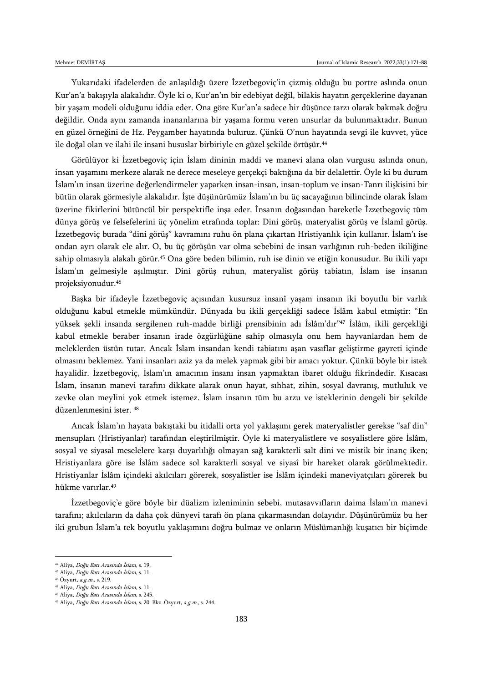Yukarıdaki ifadelerden de anlaşıldığı üzere İzzetbegoviç'in çizmiş olduğu bu portre aslında onun Kur'an'a bakışıyla alakalıdır. Öyle ki o, Kur'an'ın bir edebiyat değil, bilakis hayatın gerçeklerine dayanan bir yaşam modeli olduğunu iddia eder. Ona göre Kur'an'a sadece bir düşünce tarzı olarak bakmak doğru değildir. Onda aynı zamanda inananlarına bir yaşama formu veren unsurlar da bulunmaktadır. Bunun en güzel örneğini de Hz. Peygamber hayatında buluruz. Çünkü O'nun hayatında sevgi ile kuvvet, yüce ile doğal olan ve ilahi ile insani hususlar birbiriyle en güzel şekilde örtüşür.<sup>44</sup>

Görülüyor ki İzzetbegoviç için İslam dininin maddi ve manevi alana olan vurgusu aslında onun, insan yaşamını merkeze alarak ne derece meseleye gerçekçi baktığına da bir delalettir. Öyle ki bu durum İslam'ın insan üzerine değerlendirmeler yaparken insan-insan, insan-toplum ve insan-Tanrı ilişkisini bir bütün olarak görmesiyle alakalıdır. İşte düşünürümüz İslam'ın bu üç sacayağının bilincinde olarak İslam üzerine fikirlerini bütüncül bir perspektifle inşa eder. İnsanın doğasından hareketle İzzetbegoviç tüm dünya görüş ve felsefelerini üç yönelim etrafında toplar: Dini görüş, materyalist görüş ve İslamî görüş. İzzetbegoviç burada "dini görüş" kavramını ruhu ön plana çıkartan Hristiyanlık için kullanır. İslam'ı ise ondan ayrı olarak ele alır. O, bu üç görüşün var olma sebebini de insan varlığının ruh-beden ikiliğine sahip olmasıyla alakalı görür.<sup>45</sup> Ona göre beden bilimin, ruh ise dinin ve etiğin konusudur. Bu ikili yapı İslam'ın gelmesiyle aşılmıştır. Dini görüş ruhun, materyalist görüş tabiatın, İslam ise insanın projeksiyonudur.<sup>46</sup>

Başka bir ifadeyle İzzetbegoviç açısından kusursuz insanî yaşam insanın iki boyutlu bir varlık olduğunu kabul etmekle mümkündür. Dünyada bu ikili gerçekliği sadece İslâm kabul etmiştir: "En yüksek şekli insanda sergilenen ruh-madde birliği prensibinin adı İslâm'dır"<sup>47</sup> İslâm, ikili gerçekliği kabul etmekle beraber insanın irade özgürlüğüne sahip olmasıyla onu hem hayvanlardan hem de meleklerden üstün tutar. Ancak İslam insandan kendi tabiatını aşan vasıflar geliştirme gayreti içinde olmasını beklemez. Yani insanları aziz ya da melek yapmak gibi bir amacı yoktur. Çünkü böyle bir istek hayalidir. İzzetbegoviç, İslam'ın amacının insanı insan yapmaktan ibaret olduğu fikrindedir. Kısacası İslam, insanın manevi tarafını dikkate alarak onun hayat, sıhhat, zihin, sosyal davranış, mutluluk ve zevke olan meylini yok etmek istemez. İslam insanın tüm bu arzu ve isteklerinin dengeli bir şekilde düzenlenmesini ister. <sup>48</sup>

Ancak İslam'ın hayata bakıştaki bu itidalli orta yol yaklaşımı gerek materyalistler gerekse "saf din" mensupları (Hristiyanlar) tarafından eleştirilmiştir. Öyle ki materyalistlere ve sosyalistlere göre İslâm, sosyal ve siyasal meselelere karşı duyarlılığı olmayan sağ karakterli salt dini ve mistik bir inanç iken; Hristiyanlara göre ise İslâm sadece sol karakterli sosyal ve siyasî bir hareket olarak görülmektedir. Hristiyanlar İslâm içindeki akılcıları görerek, sosyalistler ise İslâm içindeki maneviyatçıları görerek bu hükme varırlar.<sup>49</sup>

İzzetbegoviç'e göre böyle bir düalizm izleniminin sebebi, mutasavvıfların daima İslam'ın manevi tarafını; akılcıların da daha çok dünyevi tarafı ön plana çıkarmasından dolayıdır. Düşünürümüz bu her iki grubun İslam'a tek boyutlu yaklaşımını doğru bulmaz ve onların Müslümanlığı kuşatıcı bir biçimde

<sup>44</sup> Aliya, Doğu Batı Arasında İslam, s. 19.

<sup>45</sup> Aliya, Doğu Batı Arasında İslam, s. 11.

<sup>46</sup> Özyurt, a.g.m., s. 219.

<sup>47</sup> Aliya, Doğu Batı Arasında İslam, s. 11.

<sup>48</sup> Aliya, Doğu Batı Arasında İslam, s. 245.

<sup>49</sup> Aliya, Doğu Batı Arasında İslam, s. 20. Bkz. Özyurt, a.g.m., s. 244.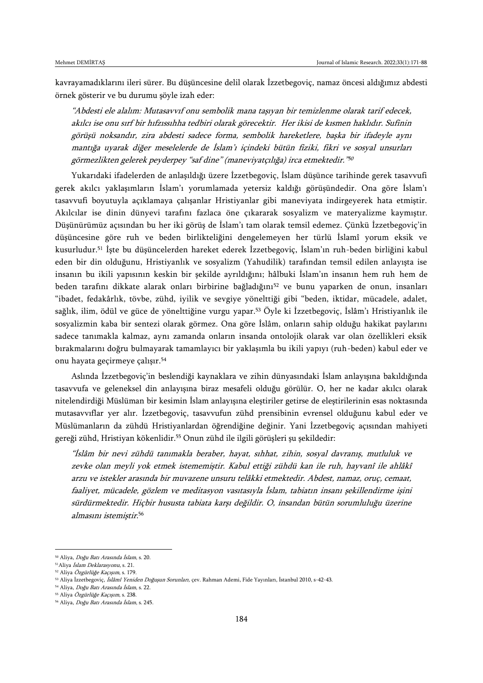kavrayamadıklarını ileri sürer. Bu düşüncesine delil olarak İzzetbegoviç, namaz öncesi aldığımız abdesti örnek gösterir ve bu durumu şöyle izah eder:

"Abdesti ele alalım: Mutasavvıf onu sembolik mana taşıyan bir temizlenme olarak tarif edecek, akılcı ise onu sırf bir hıfzıssıhha tedbiri olarak görecektir. Her ikisi de kısmen haklıdır. Sufinin görüşü noksandır, zira abdesti sadece forma, sembolik hareketlere, başka bir ifadeyle aynı mantığa uyarak diğer meselelerde de İslam'ı içindeki bütün fiziki, fikri ve sosyal unsurları görmezlikten gelerek peyderpey "saf dine" (maneviyatçılığa) irca etmektedir." 50

Yukarıdaki ifadelerden de anlaşıldığı üzere İzzetbegoviç, İslam düşünce tarihinde gerek tasavvufi gerek akılcı yaklaşımların İslam'ı yorumlamada yetersiz kaldığı görüşündedir. Ona göre İslam'ı tasavvufi boyutuyla açıklamaya çalışanlar Hristiyanlar gibi maneviyata indirgeyerek hata etmiştir. Akılcılar ise dinin dünyevi tarafını fazlaca öne çıkararak sosyalizm ve materyalizme kaymıştır. Düşünürümüz açısından bu her iki görüş de İslam'ı tam olarak temsil edemez. Çünkü İzzetbegoviç'in düşüncesine göre ruh ve beden birlikteliğini dengelemeyen her türlü İslamî yorum eksik ve kusurludur.<sup>51</sup> İşte bu düşüncelerden hareket ederek İzzetbegoviç, İslam'ın ruh-beden birliğini kabul eden bir din olduğunu, Hristiyanlık ve sosyalizm (Yahudilik) tarafından temsil edilen anlayışta ise insanın bu ikili yapısının keskin bir şekilde ayrıldığını; hâlbuki İslam'ın insanın hem ruh hem de beden tarafını dikkate alarak onları birbirine bağladığını<sup>52</sup> ve bunu yaparken de onun, insanları "ibadet, fedakârlık, tövbe, zühd, iyilik ve sevgiye yönelttiği gibi "beden, iktidar, mücadele, adalet, sağlık, ilim, ödül ve güce de yönelttiğine vurgu yapar.<sup>53</sup> Öyle ki İzzetbegoviç, İslâm'ı Hristiyanlık ile sosyalizmin kaba bir sentezi olarak görmez. Ona göre İslâm, onların sahip olduğu hakikat paylarını sadece tanımakla kalmaz, aynı zamanda onların insanda ontolojik olarak var olan özellikleri eksik bırakmalarını doğru bulmayarak tamamlayıcı bir yaklaşımla bu ikili yapıyı (ruh-beden) kabul eder ve onu hayata geçirmeye çalışır.<sup>54</sup>

Aslında İzzetbegoviç'in beslendiği kaynaklara ve zihin dünyasındaki İslam anlayışına bakıldığında tasavvufa ve geleneksel din anlayışına biraz mesafeli olduğu görülür. O, her ne kadar akılcı olarak nitelendirdiği Müslüman bir kesimin İslam anlayışına eleştiriler getirse de eleştirilerinin esas noktasında mutasavvıflar yer alır. İzzetbegoviç, tasavvufun zühd prensibinin evrensel olduğunu kabul eder ve Müslümanların da zühdü Hristiyanlardan öğrendiğine değinir. Yani İzzetbegoviç açısından mahiyeti gereği zühd, Hristiyan kökenlidir.<sup>55</sup> Onun zühd ile ilgili görüşleri şu şekildedir:

"İslâm bir nevi zühdü tanımakla beraber, hayat, sıhhat, zihin, sosyal davranış, mutluluk ve zevke olan meyli yok etmek istememiştir. Kabul ettiği zühdü kan ile ruh, hayvanî ile ahlâkî arzu ve istekler arasında bir muvazene unsuru telâkki etmektedir. Abdest, namaz, oruç, cemaat, faaliyet, mücadele, gözlem ve meditasyon vasıtasıyla İslam, tabiatın insanı şekillendirme işini sürdürmektedir. Hiçbir hususta tabiata karşı değildir. O, insandan bütün sorumluluğu üzerine almasını istemiştir. 56

<sup>50</sup> Aliya, Doğu Batı Arasında İslam, s. 20.

<sup>51</sup>Aliya İslam Deklarasyonu, s. 21.

<sup>52</sup> Aliya Özgürlüğe Kaçışım, s. 179.

<sup>&</sup>lt;sup>53</sup> Aliya İzzetbegoviç, İslâmî Yeniden Doğuşun Sorunları, çev. Rahman Ademi, Fide Yayınları, İstanbul 2010, s-42-43.

<sup>&</sup>lt;sup>54</sup> Aliya, *Doğu Batı Arasında İslam*, s. 22. <sup>55</sup> Aliya Özgürlüğe Kaçışım, s. 238.

<sup>&</sup>lt;sup>56</sup> Aliya, Doğu Batı Arasında İslam, s. 245.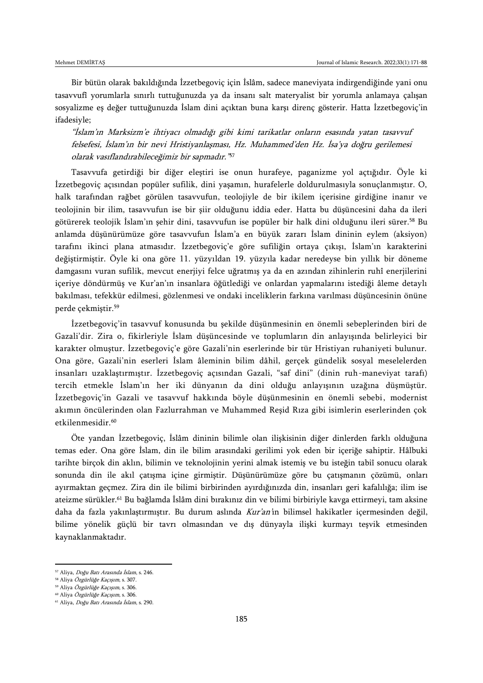Bir bütün olarak bakıldığında İzzetbegoviç için İslâm, sadece maneviyata indirgendiğinde yani onu tasavvufî yorumlarla sınırlı tuttuğunuzda ya da insanı salt materyalist bir yorumla anlamaya çalışan sosyalizme eş değer tuttuğunuzda İslam dini açıktan buna karşı direnç gösterir. Hatta İzzetbegoviç'in ifadesiyle;

"İslam'ın Marksizm'e ihtiyacı olmadığı gibi kimi tarikatlar onların esasında yatan tasavvuf felsefesi, İslam'ın bir nevi Hristiyanlaşması, Hz. Muhammed'den Hz. İsa'ya doğru gerilemesi olarak vasıflandırabileceğimiz bir sapmadır." 57

Tasavvufa getirdiği bir diğer eleştiri ise onun hurafeye, paganizme yol açtığıdır. Öyle ki İzzetbegoviç açısından popüler sufilik, dini yaşamın, hurafelerle doldurulmasıyla sonuçlanmıştır. O, halk tarafından rağbet görülen tasavvufun, teolojiyle de bir ikilem içerisine girdiğine inanır ve teolojinin bir ilim, tasavvufun ise bir şiir olduğunu iddia eder. Hatta bu düşüncesini daha da ileri götürerek teolojik İslam'ın şehir dini, tasavvufun ise popüler bir halk dini olduğunu ileri sürer.<sup>58</sup> Bu anlamda düşünürümüze göre tasavvufun İslam'a en büyük zararı İslam dininin eylem (aksiyon) tarafını ikinci plana atmasıdır. İzzetbegoviç'e göre sufiliğin ortaya çıkışı, İslam'ın karakterini değiştirmiştir. Öyle ki ona göre 11. yüzyıldan 19. yüzyıla kadar neredeyse bin yıllık bir döneme damgasını vuran sufilik, mevcut enerjiyi felce uğratmış ya da en azından zihinlerin ruhî enerjilerini içeriye döndürmüş ve Kur'an'ın insanlara öğütlediği ve onlardan yapmalarını istediği âleme detaylı bakılması, tefekkür edilmesi, gözlenmesi ve ondaki inceliklerin farkına varılması düşüncesinin önüne perde çekmiştir.<sup>59</sup>

İzzetbegoviç'in tasavvuf konusunda bu şekilde düşünmesinin en önemli sebeplerinden biri de Gazali'dir. Zira o, fikirleriyle İslam düşüncesinde ve toplumların din anlayışında belirleyici bir karakter olmuştur. İzzetbegoviç'e göre Gazali'nin eserlerinde bir tür Hristiyan ruhaniyeti bulunur. Ona göre, Gazali'nin eserleri İslam âleminin bilim dâhil, gerçek gündelik sosyal meselelerden insanları uzaklaştırmıştır. İzzetbegoviç açısından Gazali, "saf dini" (dinin ruh-maneviyat tarafı) tercih etmekle İslam'ın her iki dünyanın da dini olduğu anlayışının uzağına düşmüştür. İzzetbegoviç'in Gazali ve tasavvuf hakkında böyle düşünmesinin en önemli sebebi, modernist akımın öncülerinden olan Fazlurrahman ve Muhammed Reşid Rıza gibi isimlerin eserlerinden çok etkilenmesidir.<sup>60</sup>

Öte yandan İzzetbegoviç, İslâm dininin bilimle olan ilişkisinin diğer dinlerden farklı olduğuna temas eder. Ona göre İslam, din ile bilim arasındaki gerilimi yok eden bir içeriğe sahiptir. Hâlbuki tarihte birçok din aklın, bilimin ve teknolojinin yerini almak istemiş ve bu isteğin tabiî sonucu olarak sonunda din ile akıl çatışma içine girmiştir. Düşünürümüze göre bu çatışmanın çözümü, onları ayırmaktan geçmez. Zira din ile bilimi birbirinden ayırdığınızda din, insanları geri kafalılığa; ilim ise ateizme sürükler.<sup>61</sup> Bu bağlamda İslâm dini bırakınız din ve bilimi birbiriyle kavga ettirmeyi, tam aksine daha da fazla yakınlaştırmıştır. Bu durum aslında Kur'an'ın bilimsel hakikatler içermesinden değil, bilime yönelik güçlü bir tavrı olmasından ve dış dünyayla ilişki kurmayı teşvik etmesinden kaynaklanmaktadır.

<sup>&</sup>lt;sup>57</sup> Aliya, *Doğu Batı Arasında İslam*, s. 246.

<sup>58</sup> Aliya Özgürlüğe Kaçışım, s. 307.

<sup>59</sup> Aliya Özgürlüğe Kaçışım, s. 306.

<sup>60</sup> Aliya Özgürlüğe Kaçışım, s. 306.

<sup>&</sup>lt;sup>61</sup> Aliya, *Doğu Batı Arasında İslam*, s. 290.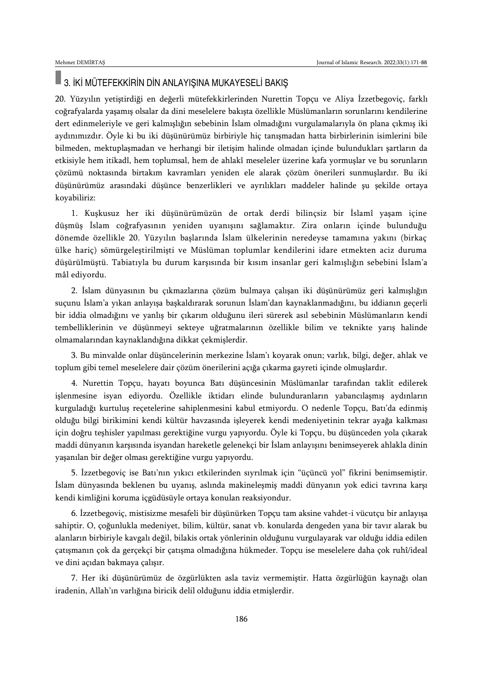### 3. İKİ MÜTEFEKKİRİN DİN ANLAYIŞINA MUKAYESELİ BAKIŞ

20. Yüzyılın yetiştirdiği en değerli mütefekkirlerinden Nurettin Topçu ve Aliya İzzetbegoviç, farklı coğrafyalarda yaşamış olsalar da dini meselelere bakışta özellikle Müslümanların sorunlarını kendilerine dert edinmeleriyle ve geri kalmışlığın sebebinin İslam olmadığını vurgulamalarıyla ön plana çıkmış iki aydınımızdır. Öyle ki bu iki düşünürümüz birbiriyle hiç tanışmadan hatta birbirlerinin isimlerini bile bilmeden, mektuplaşmadan ve herhangi bir iletişim halinde olmadan içinde bulundukları şartların da etkisiyle hem itikadî, hem toplumsal, hem de ahlakî meseleler üzerine kafa yormuşlar ve bu sorunların çözümü noktasında birtakım kavramları yeniden ele alarak çözüm önerileri sunmuşlardır. Bu iki düşünürümüz arasındaki düşünce benzerlikleri ve ayrılıkları maddeler halinde şu şekilde ortaya koyabiliriz:

1. Kuşkusuz her iki düşünürümüzün de ortak derdi bilinçsiz bir İslamî yaşam içine düşmüş İslam coğrafyasının yeniden uyanışını sağlamaktır. Zira onların içinde bulunduğu dönemde özellikle 20. Yüzyılın başlarında İslam ülkelerinin neredeyse tamamına yakını (birkaç ülke hariç) sömürgeleştirilmişti ve Müslüman toplumlar kendilerini idare etmekten aciz duruma düşürülmüştü. Tabiatıyla bu durum karşısında bir kısım insanlar geri kalmışlığın sebebini İslam'a mâl ediyordu.

2. İslam dünyasının bu çıkmazlarına çözüm bulmaya çalışan iki düşünürümüz geri kalmışlığın suçunu İslam'a yıkan anlayışa başkaldırarak sorunun İslam'dan kaynaklanmadığını, bu iddianın geçerli bir iddia olmadığını ve yanlış bir çıkarım olduğunu ileri sürerek asıl sebebinin Müslümanların kendi tembelliklerinin ve düşünmeyi sekteye uğratmalarının özellikle bilim ve teknikte yarış halinde olmamalarından kaynaklandığına dikkat çekmişlerdir.

3. Bu minvalde onlar düşüncelerinin merkezine İslam'ı koyarak onun; varlık, bilgi, değer, ahlak ve toplum gibi temel meselelere dair çözüm önerilerini açığa çıkarma gayreti içinde olmuşlardır.

4. Nurettin Topçu, hayatı boyunca Batı düşüncesinin Müslümanlar tarafından taklit edilerek işlenmesine isyan ediyordu. Özellikle iktidarı elinde bulunduranların yabancılaşmış aydınların kurguladığı kurtuluş reçetelerine sahiplenmesini kabul etmiyordu. O nedenle Topçu, Batı'da edinmiş olduğu bilgi birikimini kendi kültür havzasında işleyerek kendi medeniyetinin tekrar ayağa kalkması için doğru teşhisler yapılması gerektiğine vurgu yapıyordu. Öyle ki Topçu, bu düşünceden yola çıkarak maddi dünyanın karşısında isyandan hareketle gelenekçi bir İslam anlayışını benimseyerek ahlakla dinin yaşanılan bir değer olması gerektiğine vurgu yapıyordu.

5. İzzetbegoviç ise Batı'nın yıkıcı etkilerinden sıyrılmak için "üçüncü yol" fikrini benimsemiştir. İslam dünyasında beklenen bu uyanış, aslında makineleşmiş maddi dünyanın yok edici tavrına karşı kendi kimliğini koruma içgüdüsüyle ortaya konulan reaksiyondur.

6. İzzetbegoviç, mistisizme mesafeli bir düşünürken Topçu tam aksine vahdet-i vücutçu bir anlayışa sahiptir. O, çoğunlukla medeniyet, bilim, kültür, sanat vb. konularda dengeden yana bir tavır alarak bu alanların birbiriyle kavgalı değil, bilakis ortak yönlerinin olduğunu vurgulayarak var olduğu iddia edilen çatışmanın çok da gerçekçi bir çatışma olmadığına hükmeder. Topçu ise meselelere daha çok ruhî/ideal ve dini açıdan bakmaya çalışır.

7. Her iki düşünürümüz de özgürlükten asla taviz vermemiştir. Hatta özgürlüğün kaynağı olan iradenin, Allah'ın varlığına biricik delil olduğunu iddia etmişlerdir.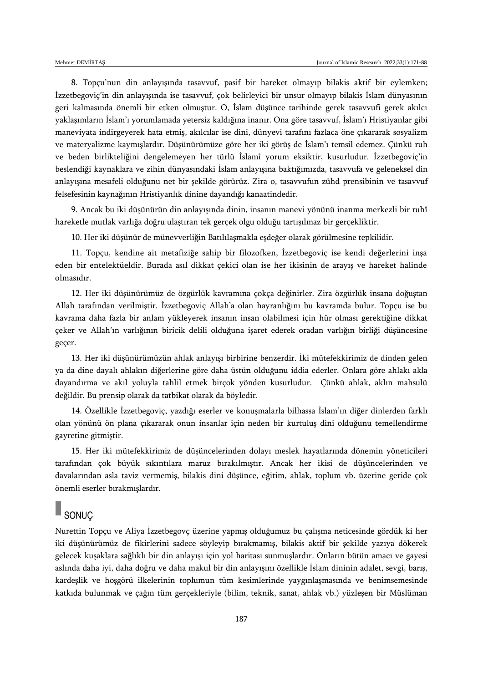8. Topçu'nun din anlayışında tasavvuf, pasif bir hareket olmayıp bilakis aktif bir eylemken; İzzetbegoviç'in din anlayışında ise tasavvuf, çok belirleyici bir unsur olmayıp bilakis İslam dünyasının geri kalmasında önemli bir etken olmuştur. O, İslam düşünce tarihinde gerek tasavvufi gerek akılcı yaklaşımların İslam'ı yorumlamada yetersiz kaldığına inanır. Ona göre tasavvuf, İslam'ı Hristiyanlar gibi maneviyata indirgeyerek hata etmiş, akılcılar ise dini, dünyevi tarafını fazlaca öne çıkararak sosyalizm ve materyalizme kaymışlardır. Düşünürümüze göre her iki görüş de İslam'ı temsil edemez. Çünkü ruh ve beden birlikteliğini dengelemeyen her türlü İslamî yorum eksiktir, kusurludur. İzzetbegoviç'in beslendiği kaynaklara ve zihin dünyasındaki İslam anlayışına baktığımızda, tasavvufa ve geleneksel din anlayışına mesafeli olduğunu net bir şekilde görürüz. Zira o, tasavvufun zühd prensibinin ve tasavvuf felsefesinin kaynağının Hristiyanlık dinine dayandığı kanaatindedir.

9. Ancak bu iki düşünürün din anlayışında dinin, insanın manevi yönünü inanma merkezli bir ruhî hareketle mutlak varlığa doğru ulaştıran tek gerçek olgu olduğu tartışılmaz bir gerçekliktir.

10. Her iki düşünür de münevverliğin Batılılaşmakla eşdeğer olarak görülmesine tepkilidir.

11. Topçu, kendine ait metafiziğe sahip bir filozofken, İzzetbegoviç ise kendi değerlerini inşa eden bir entelektüeldir. Burada asıl dikkat çekici olan ise her ikisinin de arayış ve hareket halinde olmasıdır.

12. Her iki düşünürümüz de özgürlük kavramına çokça değinirler. Zira özgürlük insana doğuştan Allah tarafından verilmiştir. İzzetbegoviç Allah'a olan hayranlığını bu kavramda bulur. Topçu ise bu kavrama daha fazla bir anlam yükleyerek insanın insan olabilmesi için hür olması gerektiğine dikkat çeker ve Allah'ın varlığının biricik delili olduğuna işaret ederek oradan varlığın birliği düşüncesine geçer.

13. Her iki düşünürümüzün ahlak anlayışı birbirine benzerdir. İki mütefekkirimiz de dinden gelen ya da dine dayalı ahlakın diğerlerine göre daha üstün olduğunu iddia ederler. Onlara göre ahlakı akla dayandırma ve akıl yoluyla tahlil etmek birçok yönden kusurludur. Çünkü ahlak, aklın mahsulü değildir. Bu prensip olarak da tatbikat olarak da böyledir.

14. Özellikle İzzetbegoviç, yazdığı eserler ve konuşmalarla bilhassa İslam'ın diğer dinlerden farklı olan yönünü ön plana çıkararak onun insanlar için neden bir kurtuluş dini olduğunu temellendirme gayretine gitmiştir.

15. Her iki mütefekkirimiz de düşüncelerinden dolayı meslek hayatlarında dönemin yöneticileri tarafından çok büyük sıkıntılara maruz bırakılmıştır. Ancak her ikisi de düşüncelerinden ve davalarından asla taviz vermemiş, bilakis dini düşünce, eğitim, ahlak, toplum vb. üzerine geride çok önemli eserler bırakmışlardır.

## SONUÇ

Nurettin Topçu ve Aliya İzzetbegovç üzerine yapmış olduğumuz bu çalışma neticesinde gördük ki her iki düşünürümüz de fikirlerini sadece söyleyip bırakmamış, bilakis aktif bir şekilde yazıya dökerek gelecek kuşaklara sağlıklı bir din anlayışı için yol haritası sunmuşlardır. Onların bütün amacı ve gayesi aslında daha iyi, daha doğru ve daha makul bir din anlayışını özellikle İslam dininin adalet, sevgi, barış, kardeşlik ve hoşgörü ilkelerinin toplumun tüm kesimlerinde yaygınlaşmasında ve benimsemesinde katkıda bulunmak ve çağın tüm gerçekleriyle (bilim, teknik, sanat, ahlak vb.) yüzleşen bir Müslüman